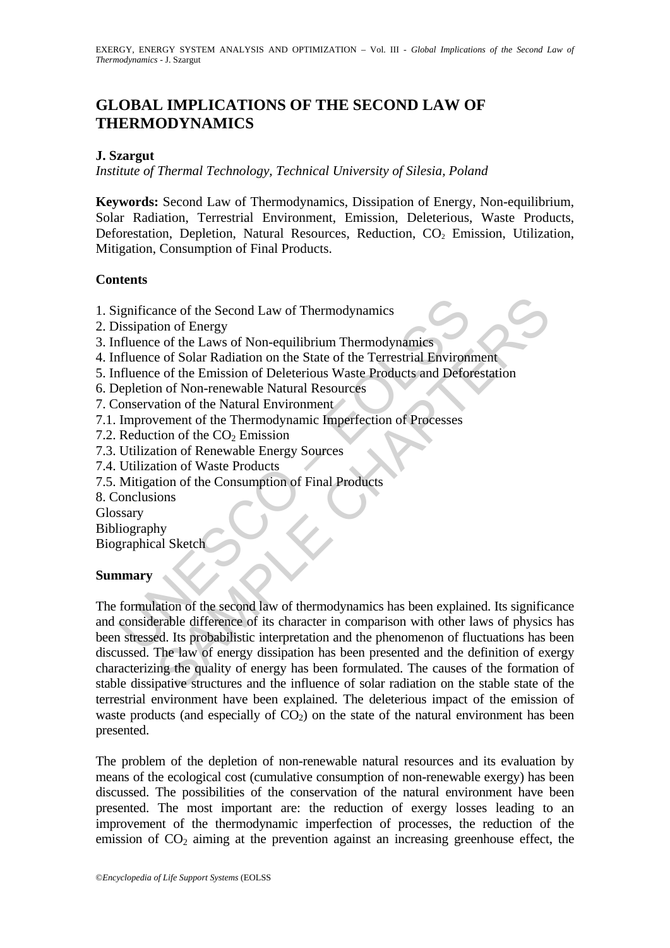# **GLOBAL IMPLICATIONS OF THE SECOND LAW OF THERMODYNAMICS**

### **J. Szargut**

*Institute of Thermal Technology, Technical University of Silesia, Poland*

**Keywords:** Second Law of Thermodynamics, Dissipation of Energy, Non-equilibrium, Solar Radiation, Terrestrial Environment, Emission, Deleterious, Waste Products, Deforestation, Depletion, Natural Resources, Reduction,  $CO<sub>2</sub>$  Emission, Utilization, Mitigation, Consumption of Final Products.

### **Contents**

- 1. Significance of the Second Law of Thermodynamics
- 2. Dissipation of Energy
- 3. Influence of the Laws of Non-equilibrium Thermodynamics
- 4. Influence of Solar Radiation on the State of the Terrestrial Environment
- 5. Influence of the Emission of Deleterious Waste Products and Deforestation
- 6. Depletion of Non-renewable Natural Resources
- 7. Conservation of the Natural Environment
- 7.1. Improvement of the Thermodynamic Imperfection of Processes
- 7.2. Reduction of the  $CO<sub>2</sub>$  Emission
- 7.3. Utilization of Renewable Energy Sources
- 7.4. Utilization of Waste Products
- 7.5. Mitigation of the Consumption of Final Products
- 8. Conclusions
- Glossary
- Bibliography
- Biographical Sketch

## **Summary**

ignificance of the Second Law of Thermodynamics<br>
issipation of Energy<br>
filuence of the Laws of Non-equilibrium Thermodynamies<br>
filuence of the Laws of Non-equilibrium Thermodynamies<br>
filuence of the Emission of Deleterious note of the Second Law of Thermodynamics<br>
ion of Energy<br>
e of the Laws of Non-equilibrium Thermodynamics<br>
e of the Laws of Non-equilibrium Thermodynamics<br>
e of the Emission of Deleterious Waste Products and Deforestation<br> The formulation of the second law of thermodynamics has been explained. Its significance and considerable difference of its character in comparison with other laws of physics has been stressed. Its probabilistic interpretation and the phenomenon of fluctuations has been discussed. The law of energy dissipation has been presented and the definition of exergy characterizing the quality of energy has been formulated. The causes of the formation of stable dissipative structures and the influence of solar radiation on the stable state of the terrestrial environment have been explained. The deleterious impact of the emission of waste products (and especially of  $CO<sub>2</sub>$ ) on the state of the natural environment has been presented.

The problem of the depletion of non-renewable natural resources and its evaluation by means of the ecological cost (cumulative consumption of non-renewable exergy) has been discussed. The possibilities of the conservation of the natural environment have been presented. The most important are: the reduction of exergy losses leading to an improvement of the thermodynamic imperfection of processes, the reduction of the emission of  $CO<sub>2</sub>$  aiming at the prevention against an increasing greenhouse effect, the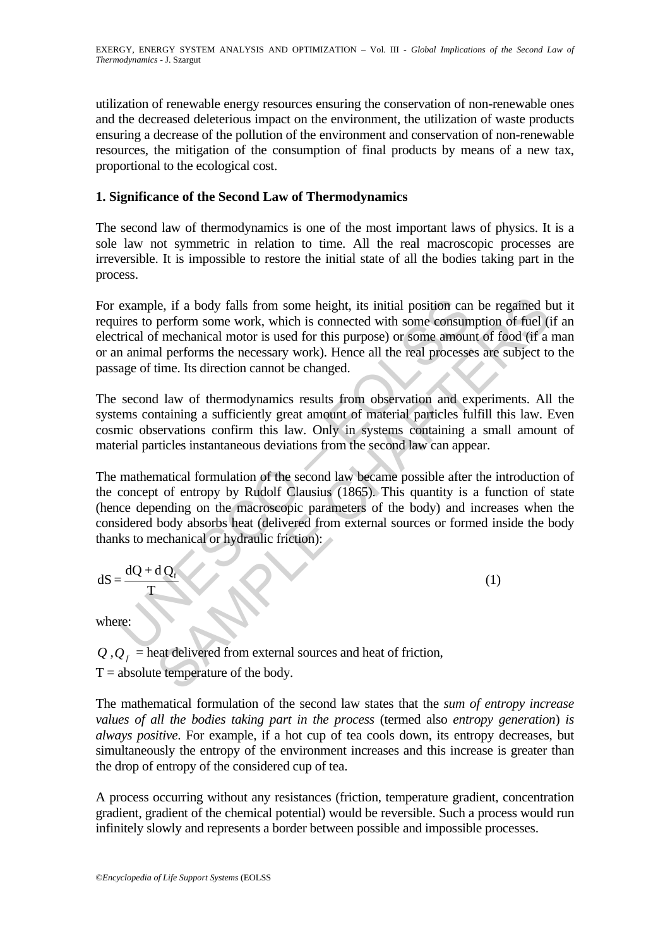utilization of renewable energy resources ensuring the conservation of non-renewable ones and the decreased deleterious impact on the environment, the utilization of waste products ensuring a decrease of the pollution of the environment and conservation of non-renewable resources, the mitigation of the consumption of final products by means of a new tax, proportional to the ecological cost.

# **1. Significance of the Second Law of Thermodynamics**

The second law of thermodynamics is one of the most important laws of physics. It is a sole law not symmetric in relation to time. All the real macroscopic processes are irreversible. It is impossible to restore the initial state of all the bodies taking part in the process.

example, if a body falls from some height, its initial position can<br>ires to perform some work, which is connected with some consum<br>trical of mechanical motor is used for this purpose) or some amoun<br>n animal performs the n le, if a body falls from some height, its initial position can be regained b<br>perform some work, which is connected with some consumption of fuel (if<br>a mechanical motor is used for this purpose) or some amount of food (if a For example, if a body falls from some height, its initial position can be regained but it requires to perform some work, which is connected with some consumption of fuel (if an electrical of mechanical motor is used for this purpose) or some amount of food (if a man or an animal performs the necessary work). Hence all the real processes are subject to the passage of time. Its direction cannot be changed.

The second law of thermodynamics results from observation and experiments. All the systems containing a sufficiently great amount of material particles fulfill this law. Even cosmic observations confirm this law. Only in systems containing a small amount of material particles instantaneous deviations from the second law can appear.

The mathematical formulation of the second law became possible after the introduction of the concept of entropy by Rudolf Clausius (1865). This quantity is a function of state (hence depending on the macroscopic parameters of the body) and increases when the considered body absorbs heat (delivered from external sources or formed inside the body thanks to mechanical or hydraulic friction):

$$
dS = \frac{dQ + dQ_f}{T}
$$
 (1)

where:

 $Q, Q<sub>f</sub>$  = heat delivered from external sources and heat of friction,

 $T = absolute temperature of the body.$ 

The mathematical formulation of the second law states that the *sum of entropy increase values of all the bodies taking part in the process* (termed also *entropy generation*) *is always positive*. For example, if a hot cup of tea cools down, its entropy decreases, but simultaneously the entropy of the environment increases and this increase is greater than the drop of entropy of the considered cup of tea.

A process occurring without any resistances (friction, temperature gradient, concentration gradient, gradient of the chemical potential) would be reversible. Such a process would run infinitely slowly and represents a border between possible and impossible processes.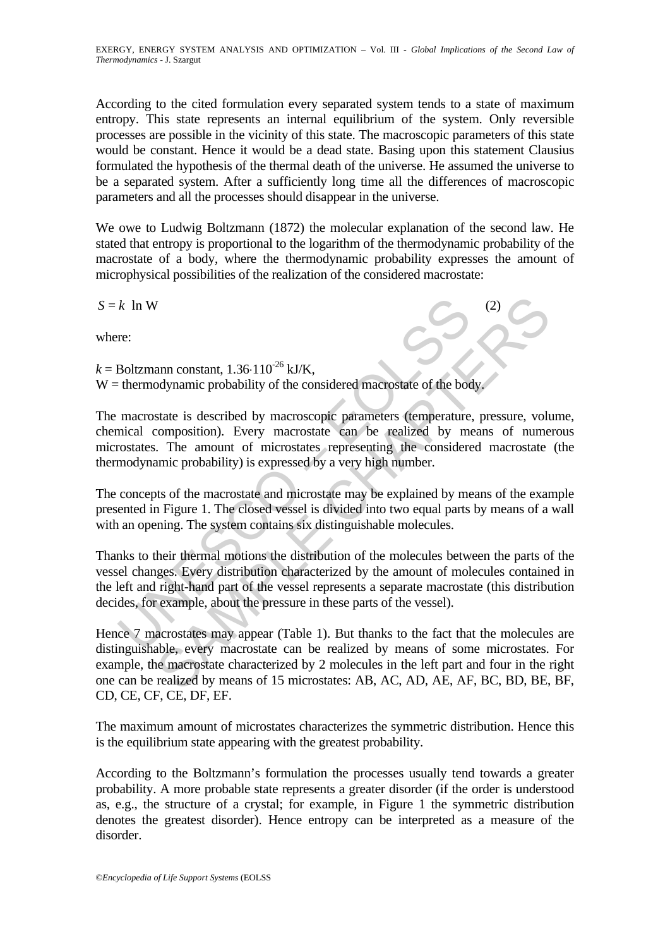According to the cited formulation every separated system tends to a state of maximum entropy. This state represents an internal equilibrium of the system. Only reversible processes are possible in the vicinity of this state. The macroscopic parameters of this state would be constant. Hence it would be a dead state. Basing upon this statement Clausius formulated the hypothesis of the thermal death of the universe. He assumed the universe to be a separated system. After a sufficiently long time all the differences of macroscopic parameters and all the processes should disappear in the universe.

We owe to Ludwig Boltzmann (1872) the molecular explanation of the second law. He stated that entropy is proportional to the logarithm of the thermodynamic probability of the macrostate of a body, where the thermodynamic probability expresses the amount of microphysical possibilities of the realization of the considered macrostate:

 $S = k \ln W$ 

where:

 $k =$ Boltzmann constant, 1.36⋅110<sup>-26</sup> kJ/K, W = thermodynamic probability of the considered macrostate of the body.

*k* In W<br>
re:<br>
Boltzmann constant,  $1.36 \cdot 110^{-26}$  kJ/K,<br>
thermodynamic probability of the considered macrostate of the boc<br>
macrostate is described by macroscopic parameters (temperature<br>
nical composition). Every macro The macrostate is described by macroscopic parameters (temperature, pressure, volume, chemical composition). Every macrostate can be realized by means of numerous microstates. The amount of microstates representing the considered macrostate (the thermodynamic probability) is expressed by a very high number.

The concepts of the macrostate and microstate may be explained by means of the example presented in Figure 1. The closed vessel is divided into two equal parts by means of a wall with an opening. The system contains six distinguishable molecules.

Thanks to their thermal motions the distribution of the molecules between the parts of the vessel changes. Every distribution characterized by the amount of molecules contained in the left and right-hand part of the vessel represents a separate macrostate (this distribution decides, for example, about the pressure in these parts of the vessel).

2)<br>
ann constant,  $1.36 \cdot 110^{26}$  kJ/K,<br>
adynamic probability of the considered macrostate of the body.<br>
state is described by macroscopic parameters (temperature, pressure, volucy<br>
composition). Every macrostate can be Hence 7 macrostates may appear (Table 1). But thanks to the fact that the molecules are distinguishable, every macrostate can be realized by means of some microstates. For example, the macrostate characterized by 2 molecules in the left part and four in the right one can be realized by means of 15 microstates: AB, AC, AD, AE, AF, BC, BD, BE, BF, CD, CE, CF, CE, DF, EF.

The maximum amount of microstates characterizes the symmetric distribution. Hence this is the equilibrium state appearing with the greatest probability.

According to the Boltzmann's formulation the processes usually tend towards a greater probability. A more probable state represents a greater disorder (if the order is understood as, e.g., the structure of a crystal; for example, in Figure 1 the symmetric distribution denotes the greatest disorder). Hence entropy can be interpreted as a measure of the disorder.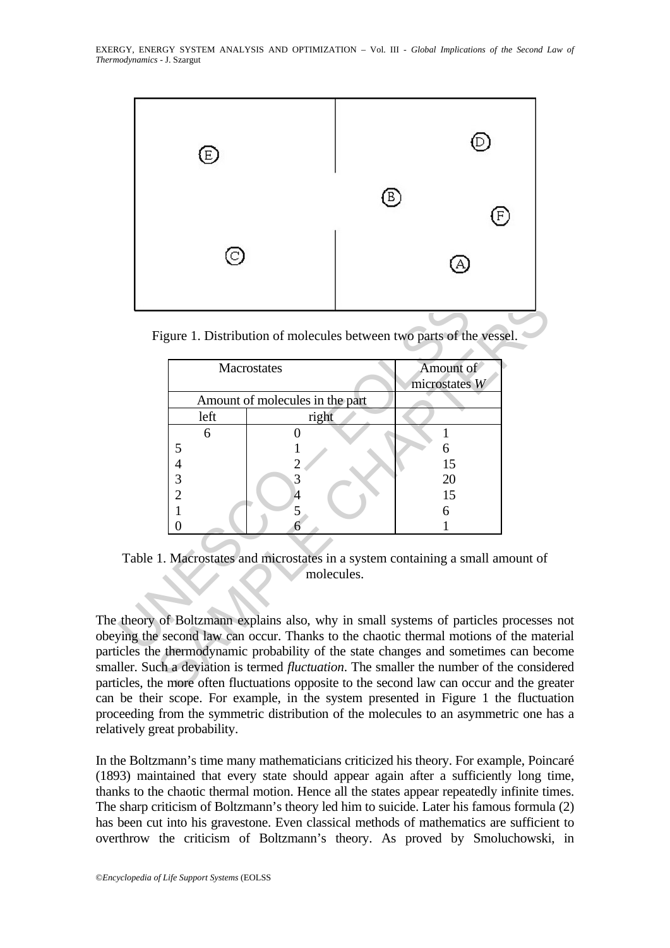

Figure 1. Distribution of molecules between two parts of the vessel.

| Macrostates                     |            | Amount of<br>microstates W                                                                                                                                                                                                                                                                                                                                                                                                                |  |
|---------------------------------|------------|-------------------------------------------------------------------------------------------------------------------------------------------------------------------------------------------------------------------------------------------------------------------------------------------------------------------------------------------------------------------------------------------------------------------------------------------|--|
| Amount of molecules in the part |            |                                                                                                                                                                                                                                                                                                                                                                                                                                           |  |
| left                            | right      |                                                                                                                                                                                                                                                                                                                                                                                                                                           |  |
| 6                               |            |                                                                                                                                                                                                                                                                                                                                                                                                                                           |  |
| 5                               |            | 6                                                                                                                                                                                                                                                                                                                                                                                                                                         |  |
| $\overline{\mathcal{A}}$        |            | 15                                                                                                                                                                                                                                                                                                                                                                                                                                        |  |
| 3                               | 3          | 20                                                                                                                                                                                                                                                                                                                                                                                                                                        |  |
| $\overline{2}$                  |            | 15                                                                                                                                                                                                                                                                                                                                                                                                                                        |  |
| $\mathbf 1$                     | 5          | 6                                                                                                                                                                                                                                                                                                                                                                                                                                         |  |
| 0                               |            |                                                                                                                                                                                                                                                                                                                                                                                                                                           |  |
|                                 | molecules. | Table 1. Macrostates and microstates in a system containing a small amount of                                                                                                                                                                                                                                                                                                                                                             |  |
|                                 |            | theory of Boltzmann explains also, why in small systems of particles processes<br>ying the second law can occur. Thanks to the chaotic thermal motions of the mate<br>icles the thermodynamic probability of the state changes and sometimes can bec<br>ller. Such a deviation is termed <i>fluctuation</i> . The smaller the number of the consid<br>icles, the more often fluctuations opposite to the second law can occur and the gre |  |

Table 1. Macrostates and microstates in a system containing a small amount of molecules.

The theory of Boltzmann explains also, why in small systems of particles processes not obeying the second law can occur. Thanks to the chaotic thermal motions of the material particles the thermodynamic probability of the state changes and sometimes can become smaller. Such a deviation is termed *fluctuation*. The smaller the number of the considered particles, the more often fluctuations opposite to the second law can occur and the greater can be their scope. For example, in the system presented in Figure 1 the fluctuation proceeding from the symmetric distribution of the molecules to an asymmetric one has a relatively great probability.

In the Boltzmann's time many mathematicians criticized his theory. For example, Poincaré (1893) maintained that every state should appear again after a sufficiently long time, thanks to the chaotic thermal motion. Hence all the states appear repeatedly infinite times. The sharp criticism of Boltzmann's theory led him to suicide. Later his famous formula (2) has been cut into his gravestone. Even classical methods of mathematics are sufficient to overthrow the criticism of Boltzmann's theory. As proved by Smoluchowski, in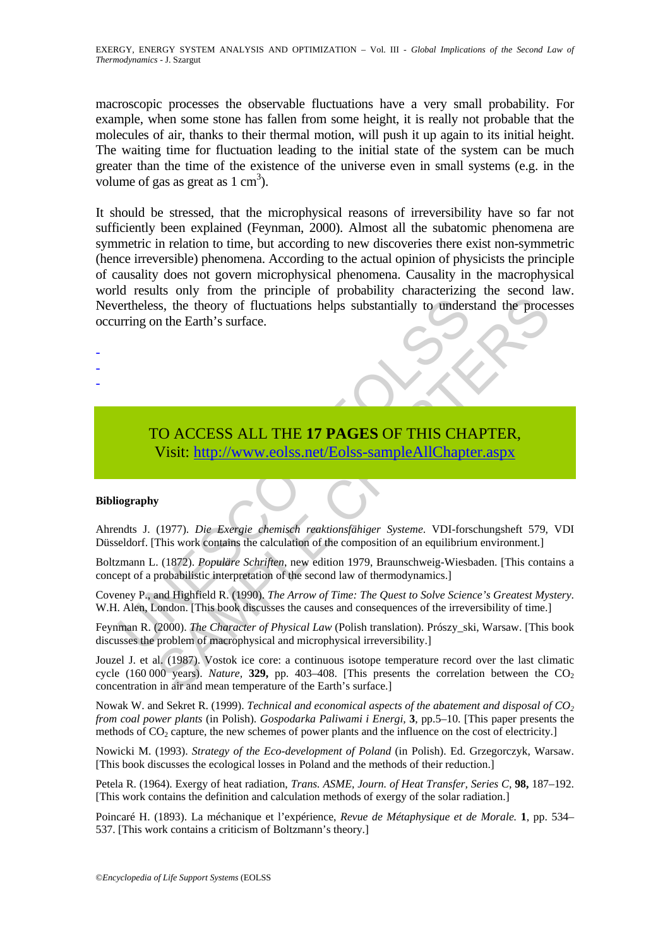macroscopic processes the observable fluctuations have a very small probability. For example, when some stone has fallen from some height, it is really not probable that the molecules of air, thanks to their thermal motion, will push it up again to its initial height. The waiting time for fluctuation leading to the initial state of the system can be much greater than the time of the existence of the universe even in small systems (e.g. in the volume of gas as great as  $1 \text{ cm}^3$ ).

It should be stressed, that the microphysical reasons of irreversibility have so far not sufficiently been explained (Feynman, 2000). Almost all the subatomic phenomena are symmetric in relation to time, but according to new discoveries there exist non-symmetric (hence irreversible) phenomena. According to the actual opinion of physicists the principle of causality does not govern microphysical phenomena. Causality in the macrophysical world results only from the principle of probability characterizing the second law. Nevertheless, the theory of fluctuations helps substantially to understand the processes occurring on the Earth's surface.

ertheless, the theory of fluctuations helps substantially to unders<br>urring on the Earth's surface.<br>
TO ACCESS ALL THE 17 PAGES OF THIS CHA<br>
Visit: http://www.eolss.net/Eolss-sampleAllChapte<br>
iography<br>
iography<br>
iography<br>
i TO ACCESS ALL THE **17 PAGES** OF THIS CHAPTER, Visit: http://www.eolss.net/Eolss-sampleAllChapter.aspx

#### **Bibliography**

- - -

Ahrendts J. (1977). *Die Exergie chemisch reaktionsfähiger Systeme*. VDI-forschungsheft 579, VDI Düsseldorf. [This work contains the calculation of the composition of an equilibrium environment.]

Boltzmann L. (1872). *Populäre Schriften*, new edition 1979, Braunschweig-Wiesbaden. [This contains a concept of a probabilistic interpretation of the second law of thermodynamics.]

Coveney P., and Highfield R. (1990). *The Arrow of Time: The Quest to Solve Science's Greatest Mystery*. W.H. Alen, London. [This book discusses the causes and consequences of the irreversibility of time.]

Feynman R. (2000). *The Character of Physical Law* (Polish translation). Prószy\_ski, Warsaw. [This book discusses the problem of macrophysical and microphysical irreversibility.]

SS, the theory of fluctuations helps substantially to understand the processes, the theory of fluctuations helps substantially to understand the process on the Earth's surface.<br>
This surface.<br>
This work contains the calcul Jouzel J. et al. (1987). Vostok ice core: a continuous isotope temperature record over the last climatic cycle  $(160\,000\,\text{years})$ . *Nature*, **329,** pp. 403–408. [This presents the correlation between the CO<sub>2</sub> concentration in air and mean temperature of the Earth's surface.]

Nowak W. and Sekret R. (1999). *Technical and economical aspects of the abatement and disposal of CO<sub>2</sub> from coal power plants* (in Polish). *Gospodarka Paliwami i Energi,* **3**, pp.5–10. [This paper presents the methods of  $CO<sub>2</sub>$  capture, the new schemes of power plants and the influence on the cost of electricity.]

Nowicki M. (1993). *Strategy of the Eco-development of Poland* (in Polish). Ed. Grzegorczyk, Warsaw. [This book discusses the ecological losses in Poland and the methods of their reduction.]

Petela R. (1964). Exergy of heat radiation, *Trans. ASME, Journ. of Heat Transfer, Series C,* **98,** 187–192. [This work contains the definition and calculation methods of exergy of the solar radiation.]

Poincaré H. (1893). La méchanique et l'expérience, *Revue de Métaphysique et de Morale.* **1**, pp. 534– 537. [This work contains a criticism of Boltzmann's theory.]